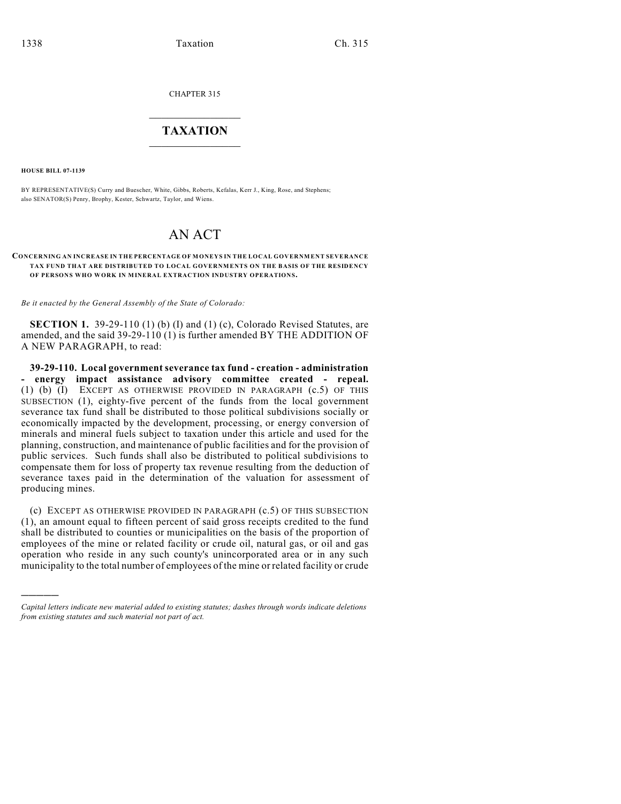CHAPTER 315

## $\mathcal{L}_\text{max}$  . The set of the set of the set of the set of the set of the set of the set of the set of the set of the set of the set of the set of the set of the set of the set of the set of the set of the set of the set **TAXATION**  $\_$

**HOUSE BILL 07-1139**

)))))

BY REPRESENTATIVE(S) Curry and Buescher, White, Gibbs, Roberts, Kefalas, Kerr J., King, Rose, and Stephens; also SENATOR(S) Penry, Brophy, Kester, Schwartz, Taylor, and Wiens.

## AN ACT

## **CONCERNING AN INCREASE IN THE PERCENTAGE OF MONEYS IN THE LOCAL GOVERNMENT SEVERANCE TAX FUND THAT ARE DISTRIBUTED TO LOCAL GOVERNMENTS ON THE BASIS OF THE RESIDENCY OF PERSONS WHO WORK IN MINERAL EXTRACTION INDUSTRY OPERATIONS.**

*Be it enacted by the General Assembly of the State of Colorado:*

**SECTION 1.** 39-29-110 (1) (b) (I) and (1) (c), Colorado Revised Statutes, are amended, and the said 39-29-110 (1) is further amended BY THE ADDITION OF A NEW PARAGRAPH, to read:

**39-29-110. Local government severance tax fund - creation - administration - energy impact assistance advisory committee created - repeal.** (1) (b) (I) EXCEPT AS OTHERWISE PROVIDED IN PARAGRAPH (c.5) OF THIS SUBSECTION (1), eighty-five percent of the funds from the local government severance tax fund shall be distributed to those political subdivisions socially or economically impacted by the development, processing, or energy conversion of minerals and mineral fuels subject to taxation under this article and used for the planning, construction, and maintenance of public facilities and for the provision of public services. Such funds shall also be distributed to political subdivisions to compensate them for loss of property tax revenue resulting from the deduction of severance taxes paid in the determination of the valuation for assessment of producing mines.

(c) EXCEPT AS OTHERWISE PROVIDED IN PARAGRAPH (c.5) OF THIS SUBSECTION (1), an amount equal to fifteen percent of said gross receipts credited to the fund shall be distributed to counties or municipalities on the basis of the proportion of employees of the mine or related facility or crude oil, natural gas, or oil and gas operation who reside in any such county's unincorporated area or in any such municipality to the total number of employees of the mine or related facility or crude

*Capital letters indicate new material added to existing statutes; dashes through words indicate deletions from existing statutes and such material not part of act.*